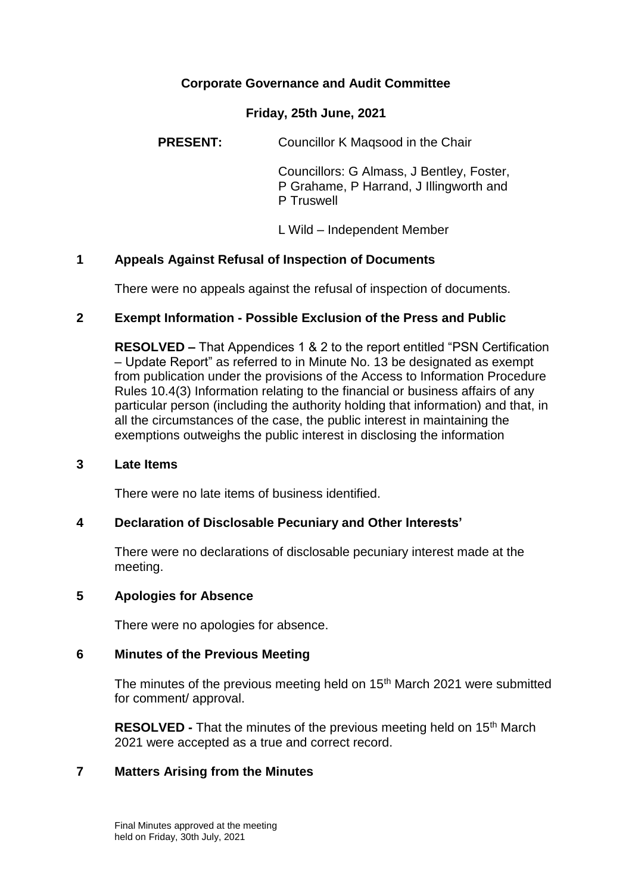### **Corporate Governance and Audit Committee**

#### **Friday, 25th June, 2021**

**PRESENT:** Councillor K Magsood in the Chair

Councillors: G Almass, J Bentley, Foster, P Grahame, P Harrand, J Illingworth and P Truswell

L Wild – Independent Member

### **1 Appeals Against Refusal of Inspection of Documents**

There were no appeals against the refusal of inspection of documents.

### **2 Exempt Information - Possible Exclusion of the Press and Public**

**RESOLVED –** That Appendices 1 & 2 to the report entitled "PSN Certification – Update Report" as referred to in Minute No. 13 be designated as exempt from publication under the provisions of the Access to Information Procedure Rules 10.4(3) Information relating to the financial or business affairs of any particular person (including the authority holding that information) and that, in all the circumstances of the case, the public interest in maintaining the exemptions outweighs the public interest in disclosing the information

#### **3 Late Items**

There were no late items of business identified.

### **4 Declaration of Disclosable Pecuniary and Other Interests'**

There were no declarations of disclosable pecuniary interest made at the meeting.

#### **5 Apologies for Absence**

There were no apologies for absence.

### **6 Minutes of the Previous Meeting**

The minutes of the previous meeting held on 15<sup>th</sup> March 2021 were submitted for comment/ approval.

**RESOLVED -** That the minutes of the previous meeting held on 15<sup>th</sup> March 2021 were accepted as a true and correct record.

### **7 Matters Arising from the Minutes**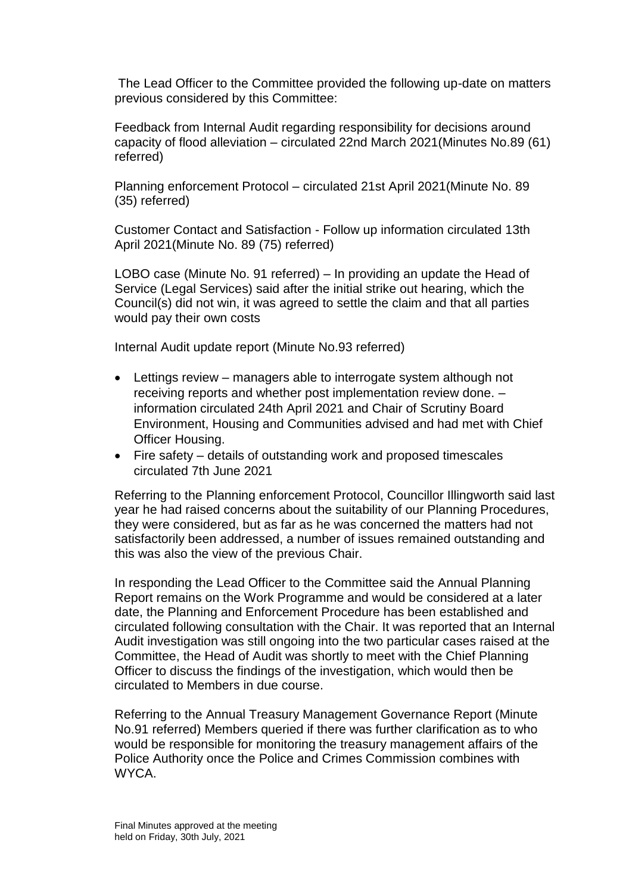The Lead Officer to the Committee provided the following up-date on matters previous considered by this Committee:

Feedback from Internal Audit regarding responsibility for decisions around capacity of flood alleviation – circulated 22nd March 2021(Minutes No.89 (61) referred)

Planning enforcement Protocol – circulated 21st April 2021(Minute No. 89 (35) referred)

Customer Contact and Satisfaction - Follow up information circulated 13th April 2021(Minute No. 89 (75) referred)

LOBO case (Minute No. 91 referred) – In providing an update the Head of Service (Legal Services) said after the initial strike out hearing, which the Council(s) did not win, it was agreed to settle the claim and that all parties would pay their own costs

Internal Audit update report (Minute No.93 referred)

- Lettings review managers able to interrogate system although not receiving reports and whether post implementation review done. – information circulated 24th April 2021 and Chair of Scrutiny Board Environment, Housing and Communities advised and had met with Chief Officer Housing.
- Fire safety details of outstanding work and proposed timescales circulated 7th June 2021

Referring to the Planning enforcement Protocol, Councillor Illingworth said last year he had raised concerns about the suitability of our Planning Procedures, they were considered, but as far as he was concerned the matters had not satisfactorily been addressed, a number of issues remained outstanding and this was also the view of the previous Chair.

In responding the Lead Officer to the Committee said the Annual Planning Report remains on the Work Programme and would be considered at a later date, the Planning and Enforcement Procedure has been established and circulated following consultation with the Chair. It was reported that an Internal Audit investigation was still ongoing into the two particular cases raised at the Committee, the Head of Audit was shortly to meet with the Chief Planning Officer to discuss the findings of the investigation, which would then be circulated to Members in due course.

Referring to the Annual Treasury Management Governance Report (Minute No.91 referred) Members queried if there was further clarification as to who would be responsible for monitoring the treasury management affairs of the Police Authority once the Police and Crimes Commission combines with WYCA.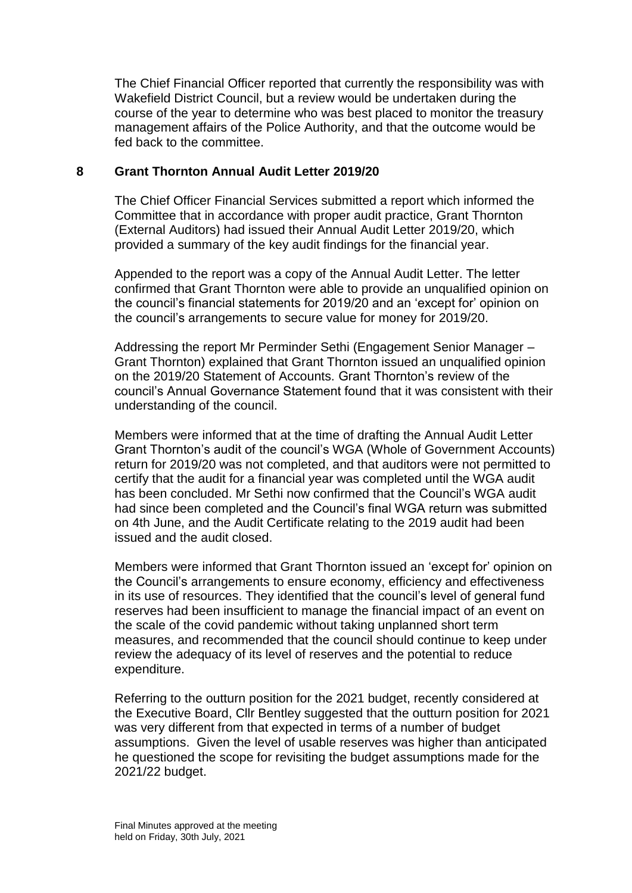The Chief Financial Officer reported that currently the responsibility was with Wakefield District Council, but a review would be undertaken during the course of the year to determine who was best placed to monitor the treasury management affairs of the Police Authority, and that the outcome would be fed back to the committee.

### **8 Grant Thornton Annual Audit Letter 2019/20**

The Chief Officer Financial Services submitted a report which informed the Committee that in accordance with proper audit practice, Grant Thornton (External Auditors) had issued their Annual Audit Letter 2019/20, which provided a summary of the key audit findings for the financial year.

Appended to the report was a copy of the Annual Audit Letter. The letter confirmed that Grant Thornton were able to provide an unqualified opinion on the council's financial statements for 2019/20 and an 'except for' opinion on the council's arrangements to secure value for money for 2019/20.

Addressing the report Mr Perminder Sethi (Engagement Senior Manager – Grant Thornton) explained that Grant Thornton issued an unqualified opinion on the 2019/20 Statement of Accounts. Grant Thornton's review of the council's Annual Governance Statement found that it was consistent with their understanding of the council.

Members were informed that at the time of drafting the Annual Audit Letter Grant Thornton's audit of the council's WGA (Whole of Government Accounts) return for 2019/20 was not completed, and that auditors were not permitted to certify that the audit for a financial year was completed until the WGA audit has been concluded. Mr Sethi now confirmed that the Council's WGA audit had since been completed and the Council's final WGA return was submitted on 4th June, and the Audit Certificate relating to the 2019 audit had been issued and the audit closed.

Members were informed that Grant Thornton issued an 'except for' opinion on the Council's arrangements to ensure economy, efficiency and effectiveness in its use of resources. They identified that the council's level of general fund reserves had been insufficient to manage the financial impact of an event on the scale of the covid pandemic without taking unplanned short term measures, and recommended that the council should continue to keep under review the adequacy of its level of reserves and the potential to reduce expenditure.

Referring to the outturn position for the 2021 budget, recently considered at the Executive Board, Cllr Bentley suggested that the outturn position for 2021 was very different from that expected in terms of a number of budget assumptions. Given the level of usable reserves was higher than anticipated he questioned the scope for revisiting the budget assumptions made for the 2021/22 budget.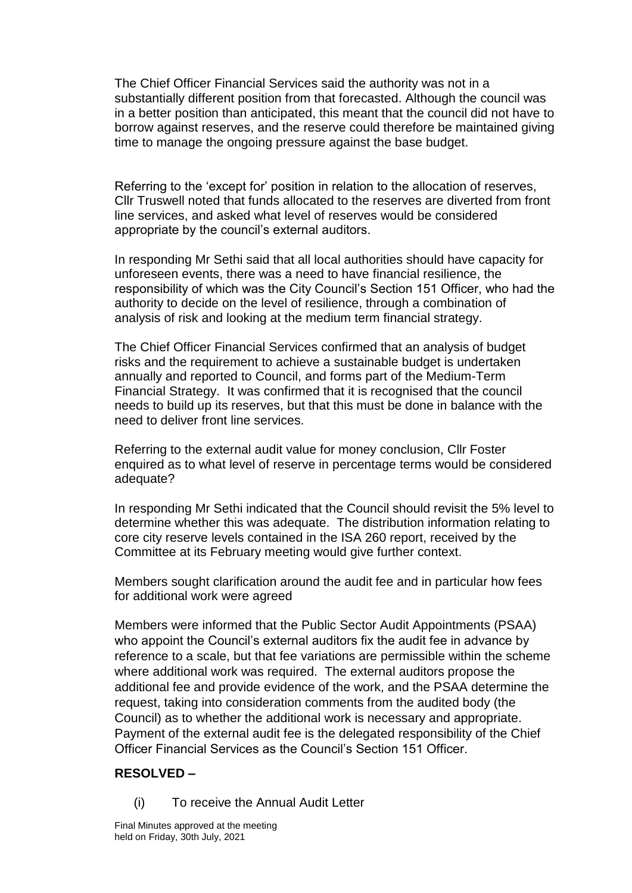The Chief Officer Financial Services said the authority was not in a substantially different position from that forecasted. Although the council was in a better position than anticipated, this meant that the council did not have to borrow against reserves, and the reserve could therefore be maintained giving time to manage the ongoing pressure against the base budget.

Referring to the 'except for' position in relation to the allocation of reserves, Cllr Truswell noted that funds allocated to the reserves are diverted from front line services, and asked what level of reserves would be considered appropriate by the council's external auditors.

In responding Mr Sethi said that all local authorities should have capacity for unforeseen events, there was a need to have financial resilience, the responsibility of which was the City Council's Section 151 Officer, who had the authority to decide on the level of resilience, through a combination of analysis of risk and looking at the medium term financial strategy.

The Chief Officer Financial Services confirmed that an analysis of budget risks and the requirement to achieve a sustainable budget is undertaken annually and reported to Council, and forms part of the Medium-Term Financial Strategy. It was confirmed that it is recognised that the council needs to build up its reserves, but that this must be done in balance with the need to deliver front line services.

Referring to the external audit value for money conclusion, Cllr Foster enquired as to what level of reserve in percentage terms would be considered adequate?

In responding Mr Sethi indicated that the Council should revisit the 5% level to determine whether this was adequate. The distribution information relating to core city reserve levels contained in the ISA 260 report, received by the Committee at its February meeting would give further context.

Members sought clarification around the audit fee and in particular how fees for additional work were agreed

Members were informed that the Public Sector Audit Appointments (PSAA) who appoint the Council's external auditors fix the audit fee in advance by reference to a scale, but that fee variations are permissible within the scheme where additional work was required. The external auditors propose the additional fee and provide evidence of the work, and the PSAA determine the request, taking into consideration comments from the audited body (the Council) as to whether the additional work is necessary and appropriate. Payment of the external audit fee is the delegated responsibility of the Chief Officer Financial Services as the Council's Section 151 Officer.

# **RESOLVED –**

(i) To receive the Annual Audit Letter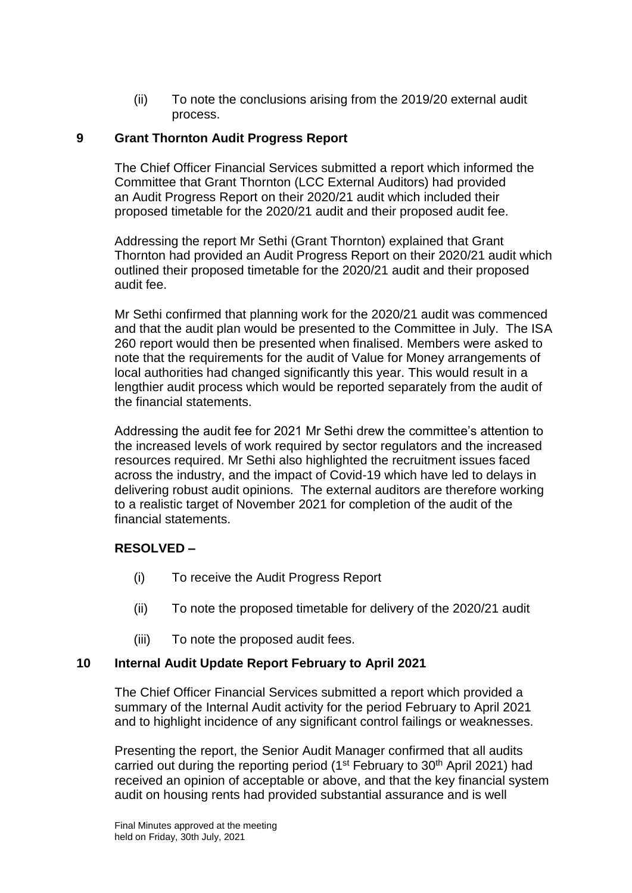(ii) To note the conclusions arising from the 2019/20 external audit process.

### **9 Grant Thornton Audit Progress Report**

The Chief Officer Financial Services submitted a report which informed the Committee that Grant Thornton (LCC External Auditors) had provided an Audit Progress Report on their 2020/21 audit which included their proposed timetable for the 2020/21 audit and their proposed audit fee.

Addressing the report Mr Sethi (Grant Thornton) explained that Grant Thornton had provided an Audit Progress Report on their 2020/21 audit which outlined their proposed timetable for the 2020/21 audit and their proposed audit fee.

Mr Sethi confirmed that planning work for the 2020/21 audit was commenced and that the audit plan would be presented to the Committee in July. The ISA 260 report would then be presented when finalised. Members were asked to note that the requirements for the audit of Value for Money arrangements of local authorities had changed significantly this year. This would result in a lengthier audit process which would be reported separately from the audit of the financial statements.

Addressing the audit fee for 2021 Mr Sethi drew the committee's attention to the increased levels of work required by sector regulators and the increased resources required. Mr Sethi also highlighted the recruitment issues faced across the industry, and the impact of Covid-19 which have led to delays in delivering robust audit opinions. The external auditors are therefore working to a realistic target of November 2021 for completion of the audit of the financial statements.

# **RESOLVED –**

- (i) To receive the Audit Progress Report
- (ii) To note the proposed timetable for delivery of the 2020/21 audit
- (iii) To note the proposed audit fees.

### **10 Internal Audit Update Report February to April 2021**

The Chief Officer Financial Services submitted a report which provided a summary of the Internal Audit activity for the period February to April 2021 and to highlight incidence of any significant control failings or weaknesses.

Presenting the report, the Senior Audit Manager confirmed that all audits carried out during the reporting period ( $1<sup>st</sup>$  February to  $30<sup>th</sup>$  April 2021) had received an opinion of acceptable or above, and that the key financial system audit on housing rents had provided substantial assurance and is well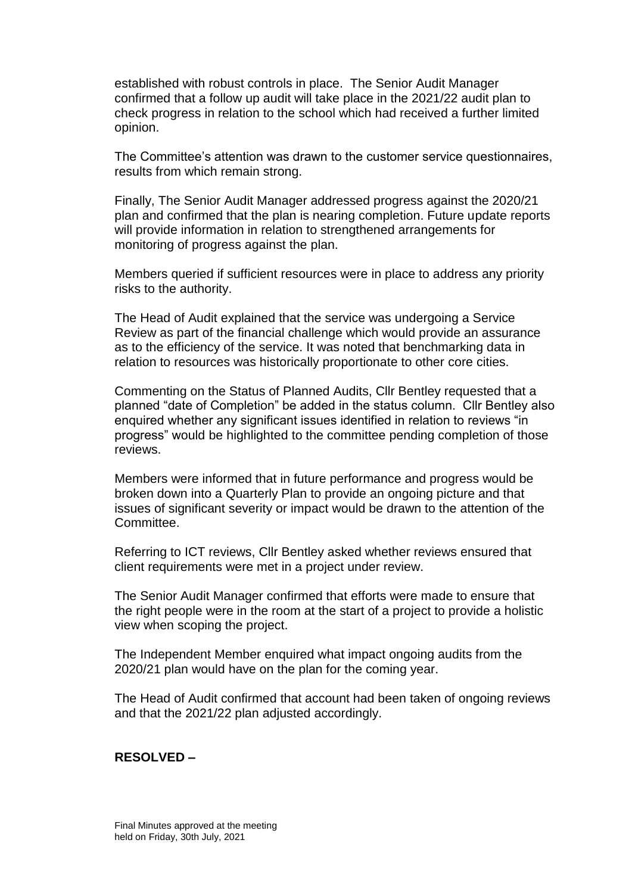established with robust controls in place. The Senior Audit Manager confirmed that a follow up audit will take place in the 2021/22 audit plan to check progress in relation to the school which had received a further limited opinion.

The Committee's attention was drawn to the customer service questionnaires, results from which remain strong.

Finally, The Senior Audit Manager addressed progress against the 2020/21 plan and confirmed that the plan is nearing completion. Future update reports will provide information in relation to strengthened arrangements for monitoring of progress against the plan.

Members queried if sufficient resources were in place to address any priority risks to the authority.

The Head of Audit explained that the service was undergoing a Service Review as part of the financial challenge which would provide an assurance as to the efficiency of the service. It was noted that benchmarking data in relation to resources was historically proportionate to other core cities.

Commenting on the Status of Planned Audits, Cllr Bentley requested that a planned "date of Completion" be added in the status column. Cllr Bentley also enquired whether any significant issues identified in relation to reviews "in progress" would be highlighted to the committee pending completion of those reviews.

Members were informed that in future performance and progress would be broken down into a Quarterly Plan to provide an ongoing picture and that issues of significant severity or impact would be drawn to the attention of the Committee.

Referring to ICT reviews, Cllr Bentley asked whether reviews ensured that client requirements were met in a project under review.

The Senior Audit Manager confirmed that efforts were made to ensure that the right people were in the room at the start of a project to provide a holistic view when scoping the project.

The Independent Member enquired what impact ongoing audits from the 2020/21 plan would have on the plan for the coming year.

The Head of Audit confirmed that account had been taken of ongoing reviews and that the 2021/22 plan adjusted accordingly.

#### **RESOLVED –**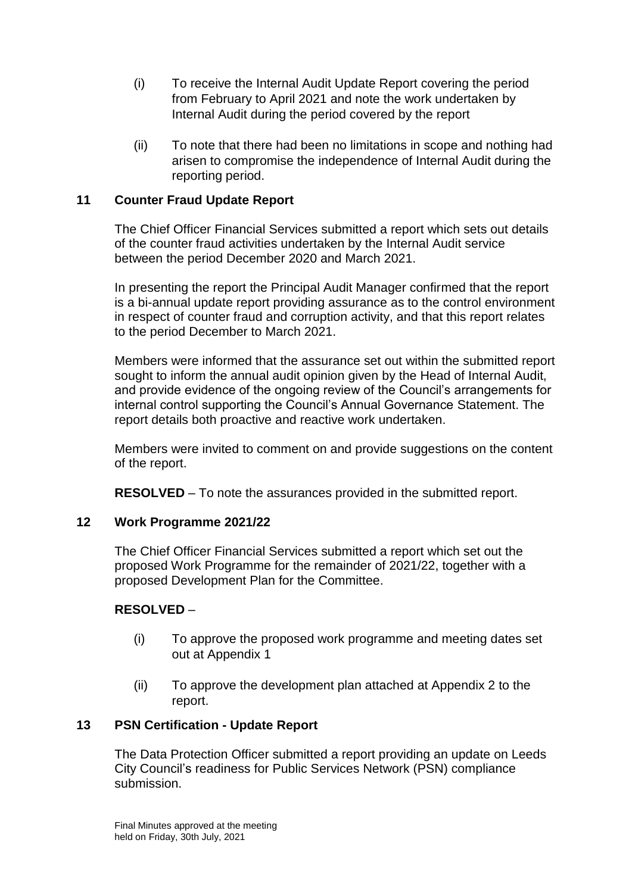- (i) To receive the Internal Audit Update Report covering the period from February to April 2021 and note the work undertaken by Internal Audit during the period covered by the report
- (ii) To note that there had been no limitations in scope and nothing had arisen to compromise the independence of Internal Audit during the reporting period.

# **11 Counter Fraud Update Report**

The Chief Officer Financial Services submitted a report which sets out details of the counter fraud activities undertaken by the Internal Audit service between the period December 2020 and March 2021.

In presenting the report the Principal Audit Manager confirmed that the report is a bi-annual update report providing assurance as to the control environment in respect of counter fraud and corruption activity, and that this report relates to the period December to March 2021.

Members were informed that the assurance set out within the submitted report sought to inform the annual audit opinion given by the Head of Internal Audit, and provide evidence of the ongoing review of the Council's arrangements for internal control supporting the Council's Annual Governance Statement. The report details both proactive and reactive work undertaken.

Members were invited to comment on and provide suggestions on the content of the report.

**RESOLVED** – To note the assurances provided in the submitted report.

# **12 Work Programme 2021/22**

The Chief Officer Financial Services submitted a report which set out the proposed Work Programme for the remainder of 2021/22, together with a proposed Development Plan for the Committee.

### **RESOLVED** –

- (i) To approve the proposed work programme and meeting dates set out at Appendix 1
- (ii) To approve the development plan attached at Appendix 2 to the report.

### **13 PSN Certification - Update Report**

The Data Protection Officer submitted a report providing an update on Leeds City Council's readiness for Public Services Network (PSN) compliance submission.